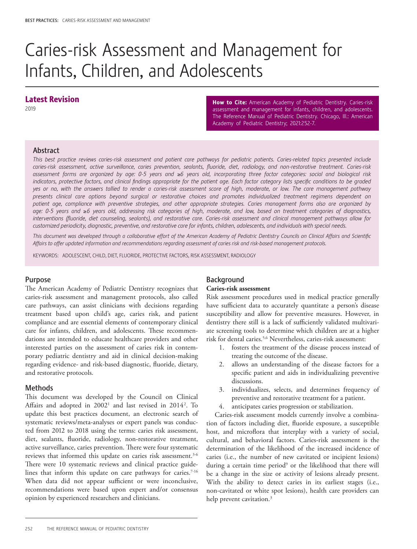# Caries-risk Assessment and Management for Infants, Children, and Adolescents

# Latest Revision

2019

How to Cite: American Academy of Pediatric Dentistry. Caries-risk assessment and management for infants, children, and adolescents. The Reference Manual of Pediatric Dentistry. Chicago, Ill.: American Academy of Pediatric Dentistry; 2021:252-7.

#### Abstract

*This best practice reviews caries-risk assessment and patient care pathways for pediatric patients. Caries-related topics presented include caries-risk assessment, active surveillance, caries prevention, sealants, fluoride, diet, radiology, and non-restorative treatment. Caries-risk assessment forms are organized by age: 0-5 years and* ≥*6 years old, incorporating three factor categories: social and biological risk*  indicators, protective factors, and clinical findings appropriate for the patient age. Each factor category lists specific conditions to be graded *yes or no, with the answers tallied to render a caries-risk assessment score of high, moderate, or low. The care management pathway presents clinical care options beyond surgical or restorative choices and promotes individualized treatment regimens dependent on patient age, compliance with preventive strategies, and other appropriate strategies. Caries management forms also are organized by age: 0-5 years and* ≥*6 years old, addressing risk categories of high, moderate, and low, based on treatment categories of diagnostics, interventions (fluoride, diet counseling, sealants), and restorative care. Caries-risk assessment and clinical management pathways allow for customized periodicity, diagnostic, preventive, and restorative care for infants, children, adolescents, and individuals with special needs.* 

*This document was developed through a collaborative effort of the American Academy of Pediatric Dentistry Councils on Clinical Affairs and Scientific Affairs to offer updated information and recommendations regarding assessment of caries risk and risk-based management protocols.*

KEYWORDS: ADOLESCENT, CHILD, DIET, FLUORIDE, PROTECTIVE FACTORS, RISK ASSESSMENT, RADIOLOGY

#### Purpose

The American Academy of Pediatric Dentistry recognizes that caries-risk assessment and management protocols, also called care pathways, can assist clinicians with decisions regarding treatment based upon child's age, caries risk, and patient compliance and are essential elements of contemporary clinical care for infants, children, and adolescents. These recommendations are intended to educate healthcare providers and other interested parties on the assessment of caries risk in contemporary pediatric dentistry and aid in clinical decision-making regarding evidence- and risk-based diagnostic, fluoride, dietary, and restorative protocols.

#### Methods

This document was developed by the Council on Clinical Affairs and adopted in 2002<sup>1</sup> and last revised in 2014<sup>2</sup>. To update this best practices document, an electronic search of systematic reviews/meta-analyses or expert panels was conducted from 2012 to 2018 using the terms: caries risk assessment, diet, sealants, fluoride, radiology, non-restorative treatment, active surveillance, caries prevention. There were four systematic reviews that informed this update on caries risk assessment.<sup>3-6</sup> There were 10 systematic reviews and clinical practice guidelines that inform this update on care pathways for caries.<sup>7-16</sup> When data did not appear sufficient or were inconclusive, recommendations were based upon expert and/or consensus opinion by experienced researchers and clinicians.

## Background

#### **Caries-risk assessment**

Risk assessment procedures used in medical practice generally have sufficient data to accurately quantitate a person's disease susceptibility and allow for preventive measures. However, in dentistry there still is a lack of sufficiently validated multivariate screening tools to determine which children are at a higher risk for dental caries.5,6 Nevertheless, caries-risk assessment:

- 1. fosters the treatment of the disease process instead of treating the outcome of the disease.
- 2. allows an understanding of the disease factors for a specific patient and aids in individualizing preventive discussions.
- 3. individualizes, selects, and determines frequency of preventive and restorative treatment for a patient.
- 4. anticipates caries progression or stabilization.

Caries-risk assessment models currently involve a combination of factors including diet, fluoride exposure, a susceptible host, and microflora that interplay with a variety of social, cultural, and behavioral factors. Caries-risk assessment is the determination of the likelihood of the increased incidence of caries (i.e., the number of new cavitated or incipient lesions) during a certain time period<sup>9</sup> or the likelihood that there will be a change in the size or activity of lesions already present. With the ability to detect caries in its earliest stages (i.e., non-cavitated or white spot lesions), health care providers can help prevent cavitation.<sup>3</sup>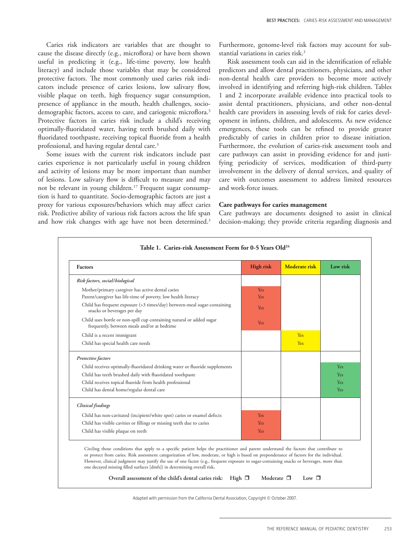Caries risk indicators are variables that are thought to cause the disease directly (e.g., microflora) or have been shown useful in predicting it (e.g., life-time poverty, low health literacy) and include those variables that may be considered protective factors. The most commonly used caries risk indicators include presence of caries lesions, low salivary flow, visible plaque on teeth, high frequency sugar consumption, presence of appliance in the mouth, health challenges, sociodemographic factors, access to care, and cariogenic microflora.<sup>3</sup> Protective factors in caries risk include a child's receiving optimally-fluoridated water, having teeth brushed daily with fluoridated toothpaste, receiving topical fluoride from a health professional, and having regular dental care.<sup>3</sup>

Some issues with the current risk indicators include past caries experience is not particularly useful in young children and activity of lesions may be more important than number of lesions. Low salivary flow is difficult to measure and may not be relevant in young children.<sup>17</sup> Frequent sugar consumption is hard to quantitate. Socio-demographic factors are just a proxy for various exposures/behaviors which may affect caries risk. Predictive ability of various risk factors across the life span and how risk changes with age have not been determined.<sup>3</sup>

Furthermore, genome-level risk factors may account for substantial variations in caries risk.<sup>3</sup>

Risk assessment tools can aid in the identification of reliable predictors and allow dental practitioners, physicians, and other non-dental health care providers to become more actively involved in identifying and referring high-risk children. Tables 1 and 2 incorporate available evidence into practical tools to assist dental practitioners, physicians, and other non-dental health care providers in assessing levels of risk for caries development in infants, children, and adolescents. As new evidence emergences, these tools can be refined to provide greater predictably of caries in children prior to disease initiation. Furthermore, the evolution of caries-risk assessment tools and care pathways can assist in providing evidence for and justifying periodicity of services, modification of third-party involvement in the delivery of dental services, and quality of care with outcomes assessment to address limited resources and work-force issues.

#### **Care pathways for caries management**

Care pathways are documents designed to assist in clinical decision-making; they provide criteria regarding diagnosis and

| <b>Factors</b>                                                                                                                                                                                                                                                                                                                                                                                                                                                                                              | <b>High risk</b>         | Moderate risk | Low risk |
|-------------------------------------------------------------------------------------------------------------------------------------------------------------------------------------------------------------------------------------------------------------------------------------------------------------------------------------------------------------------------------------------------------------------------------------------------------------------------------------------------------------|--------------------------|---------------|----------|
| Risk factors, social/biological                                                                                                                                                                                                                                                                                                                                                                                                                                                                             |                          |               |          |
| Mother/primary caregiver has active dental caries<br>Parent/caregiver has life-time of poverty, low health literacy                                                                                                                                                                                                                                                                                                                                                                                         | <b>Yes</b><br><b>Yes</b> |               |          |
| Child has frequent exposure (>3 times/day) between-meal sugar-containing<br>snacks or beverages per day                                                                                                                                                                                                                                                                                                                                                                                                     | <b>Yes</b>               |               |          |
| Child uses bottle or non-spill cup containing natural or added sugar<br>frequently, between meals and/or at bedtime                                                                                                                                                                                                                                                                                                                                                                                         | Yes                      |               |          |
| Child is a recent immigrant                                                                                                                                                                                                                                                                                                                                                                                                                                                                                 |                          | Yes           |          |
| Child has special health care needs                                                                                                                                                                                                                                                                                                                                                                                                                                                                         |                          | <b>Yes</b>    |          |
| Protective factors                                                                                                                                                                                                                                                                                                                                                                                                                                                                                          |                          |               |          |
| Child receives optimally-fluoridated drinking water or fluoride supplements                                                                                                                                                                                                                                                                                                                                                                                                                                 |                          |               | Yes      |
| Child has teeth brushed daily with fluoridated toothpaste                                                                                                                                                                                                                                                                                                                                                                                                                                                   |                          |               | Yes      |
| Child receives topical fluoride from health professional                                                                                                                                                                                                                                                                                                                                                                                                                                                    |                          |               | Yes      |
| Child has dental home/regular dental care                                                                                                                                                                                                                                                                                                                                                                                                                                                                   |                          |               | Yes      |
| <b>Clinical</b> findings                                                                                                                                                                                                                                                                                                                                                                                                                                                                                    |                          |               |          |
| Child has non-cavitated (incipient/white spot) caries or enamel defects                                                                                                                                                                                                                                                                                                                                                                                                                                     | Yes                      |               |          |
| Child has visible cavities or fillings or missing teeth due to caries                                                                                                                                                                                                                                                                                                                                                                                                                                       | Yes                      |               |          |
| Child has visible plaque on teeth                                                                                                                                                                                                                                                                                                                                                                                                                                                                           | Yes                      |               |          |
| Circling those conditions that apply to a specific patient helps the practitioner and parent understand the factors that contribute to<br>or protect from caries. Risk assessment categorization of low, moderate, or high is based on preponderance of factors for the individual.<br>However, clinical judgment may justify the use of one factor (e.g., frequent exposure to sugar-containing snacks or beverages, more than<br>one decayed missing filled surfaces [dmfs]) in determining overall risk. |                          |               |          |

Adapted with permission from the California Dental Association, Copyright © October 2007.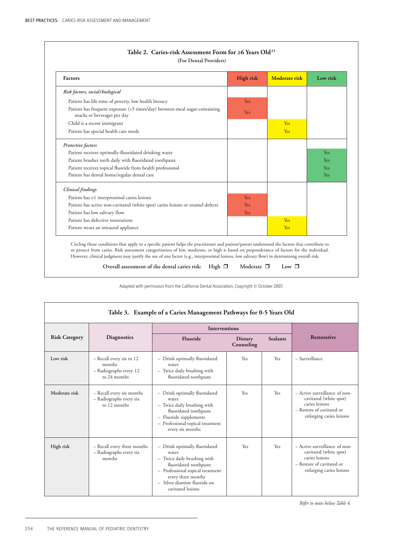| <b>Factors</b>                                                                                                                                                                                                                                                                                                                                                                                                                            | <b>High risk</b> | <b>Moderate risk</b> | Low risk   |
|-------------------------------------------------------------------------------------------------------------------------------------------------------------------------------------------------------------------------------------------------------------------------------------------------------------------------------------------------------------------------------------------------------------------------------------------|------------------|----------------------|------------|
| Risk factors, social/biological                                                                                                                                                                                                                                                                                                                                                                                                           |                  |                      |            |
| Patient has life-time of poverty, low health literacy                                                                                                                                                                                                                                                                                                                                                                                     | Yes              |                      |            |
| Patient has frequent exposure (>3 times/day) between-meal sugar-containing<br>snacks or beverages per day                                                                                                                                                                                                                                                                                                                                 | Yes              |                      |            |
| Child is a recent immigrant                                                                                                                                                                                                                                                                                                                                                                                                               |                  | Yes                  |            |
| Patient has special health care needs                                                                                                                                                                                                                                                                                                                                                                                                     |                  | Yes                  |            |
| Protective factors                                                                                                                                                                                                                                                                                                                                                                                                                        |                  |                      |            |
| Patient receives optimally-fluoridated drinking water                                                                                                                                                                                                                                                                                                                                                                                     |                  |                      | <b>Yes</b> |
| Patient brushes teeth daily with fluoridated toothpaste                                                                                                                                                                                                                                                                                                                                                                                   |                  |                      | <b>Yes</b> |
| Patient receives topical fluoride from health professional                                                                                                                                                                                                                                                                                                                                                                                |                  |                      | <b>Yes</b> |
| Patient has dental home/regular dental care                                                                                                                                                                                                                                                                                                                                                                                               |                  |                      | Yes        |
| <b>Clinical</b> findings                                                                                                                                                                                                                                                                                                                                                                                                                  |                  |                      |            |
| Patient has ≥1 interproximal caries lesions                                                                                                                                                                                                                                                                                                                                                                                               | <b>Yes</b>       |                      |            |
| Patient has active non-cavitated (white spot) caries lesions or enamel defects                                                                                                                                                                                                                                                                                                                                                            | Yes              |                      |            |
| Patient has low salivary flow                                                                                                                                                                                                                                                                                                                                                                                                             | Yes              |                      |            |
| Patient has defective restorations                                                                                                                                                                                                                                                                                                                                                                                                        |                  | Yes                  |            |
| Patient wears an intraoral appliance                                                                                                                                                                                                                                                                                                                                                                                                      |                  | Yes                  |            |
| Circling those conditions that apply to a specific patient helps the practitioner and patient/parent understand the factors that contribute to<br>or protect from caries. Risk assessment categorization of low, moderate, or high is based on preponderance of factors for the individual.<br>However, clinical judgment may justify the use of one factor (e.g., interproximal lesions, low salivary flow) in determining overall risk. |                  |                      |            |

Adapted with permission from the California Dental Association, Copyright © October 2007.

| Table 3. Example of a Caries Management Pathways for 0-5 Years Old |                                                                              |                                                                                                                                                                                                                |                       |                 |                                                                                                                                    |
|--------------------------------------------------------------------|------------------------------------------------------------------------------|----------------------------------------------------------------------------------------------------------------------------------------------------------------------------------------------------------------|-----------------------|-----------------|------------------------------------------------------------------------------------------------------------------------------------|
|                                                                    | <b>Diagnostics</b>                                                           | <b>Interventions</b>                                                                                                                                                                                           |                       |                 |                                                                                                                                    |
| <b>Risk Category</b>                                               |                                                                              | Fluoride                                                                                                                                                                                                       | Dietary<br>Counseling | <b>Sealants</b> | <b>Restorative</b>                                                                                                                 |
| Low risk                                                           | - Recall every six to 12<br>months<br>- Radiographs every 12<br>to 24 months | - Drink optimally fluoridated<br>water<br>- Twice daily brushing with<br>fluoridated toothpaste                                                                                                                | Yes                   | Yes             | - Surveillance                                                                                                                     |
| Moderate risk                                                      | - Recall every six months<br>- Radiographs every six<br>to 12 months         | - Drink optimally fluoridated<br>water<br>- Twice daily brushing with<br>fluoridated toothpaste<br>- Fluoride supplements<br>- Professional topical treatment<br>every six months                              | Yes                   | Yes             | - Active surveillance of non-<br>cavitated (white spot)<br>caries lesions<br>- Restore of cavitated or<br>enlarging caries lesions |
| High risk                                                          | - Recall every three months<br>- Radiographs every six<br>months             | - Drink optimally fluoridated<br>water<br>- Twice daily brushing with<br>fluoridated toothpaste<br>- Professional topical treatment<br>every three months<br>- Silver diamine fluoride on<br>cavitated lesions | Yes                   | Yes             | - Active surveillance of non-<br>cavitated (white spot)<br>caries lesions<br>- Restore of cavitated or<br>enlarging caries lesions |

*Refer to notes below Table 4.*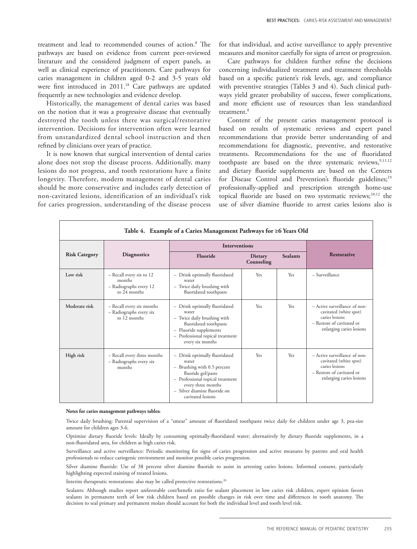treatment and lead to recommended courses of action.8 The pathways are based on evidence from current peer-reviewed literature and the considered judgment of expert panels, as well as clinical experience of practitioners. Care pathways for caries management in children aged 0-2 and 3-5 years old were first introduced in 2011.<sup>18</sup> Care pathways are updated frequently as new technologies and evidence develop.

Historically, the management of dental caries was based on the notion that it was a progressive disease that eventually destroyed the tooth unless there was surgical/restorative intervention. Decisions for intervention often were learned from unstandardized dental school instruction and then refined by clinicians over years of practice.

It is now known that surgical intervention of dental caries alone does not stop the disease process. Additionally, many lesions do not progress, and tooth restorations have a finite longevity. Therefore, modern management of dental caries should be more conservative and includes early detection of non-cavitated lesions, identification of an individual's risk for caries progression, understanding of the disease process for that individual, and active surveillance to apply preventive measures and monitor carefully for signs of arrest or progression.

Care pathways for children further refine the decisions concerning individualized treatment and treatment thresholds based on a specific patient's risk levels, age, and compliance with preventive strategies (Tables 3 and 4). Such clinical pathways yield greater probability of success, fewer complications, and more efficient use of resources than less standardized treatment.<sup>8</sup>

Content of the present caries management protocol is based on results of systematic reviews and expert panel recommendations that provide better understanding of and recommendations for diagnostic, preventive, and restorative treatments. Recommendations for the use of fluoridated toothpaste are based on the three systematic reviews,  $9,11,12$ and dietary fluoride supplements are based on the Centers for Disease Control and Prevention's fluoride guidelines;<sup>19</sup> professionally-applied and prescription strength home-use topical fluoride are based on two systematic reviews;<sup>10,12</sup> the use of silver diamine fluoride to arrest caries lesions also is

| Table 4. Example of a Caries Management Pathways for ≥6 Years Old |                                                                              |                                                                                                                                                                                                            |                              |                 |                                                                                                                                    |
|-------------------------------------------------------------------|------------------------------------------------------------------------------|------------------------------------------------------------------------------------------------------------------------------------------------------------------------------------------------------------|------------------------------|-----------------|------------------------------------------------------------------------------------------------------------------------------------|
|                                                                   |                                                                              | <b>Interventions</b>                                                                                                                                                                                       |                              |                 |                                                                                                                                    |
| <b>Risk Category</b>                                              | <b>Diagnostics</b>                                                           | Fluoride                                                                                                                                                                                                   | <b>Dietary</b><br>Counseling | <b>Sealants</b> | <b>Restorative</b>                                                                                                                 |
| Low risk                                                          | - Recall every six to 12<br>months<br>- Radiographs every 12<br>to 24 months | - Drink optimally fluoridated<br>water<br>- Twice daily brushing with<br>fluoridated toothpaste                                                                                                            | Yes                          | Yes             | - Surveillance                                                                                                                     |
| Moderate risk                                                     | - Recall every six months<br>- Radiographs every six<br>to 12 months         | - Drink optimally fluoridated<br>water<br>- Twice daily brushing with<br>fluoridated toothpaste<br>- Fluoride supplements<br>- Professional topical treatment<br>every six months                          | Yes                          | <b>Yes</b>      | - Active surveillance of non-<br>cavitated (white spot)<br>caries lesions<br>- Restore of cavitated or<br>enlarging caries lesions |
| High risk                                                         | - Recall every three months<br>- Radiographs every six<br>months             | - Drink optimally fluoridated<br>water<br>- Brushing with 0.5 percent<br>fluoride gel/paste<br>- Professional topical treatment<br>every three months<br>- Silver diamine fluoride on<br>cavitated lesions | Yes                          | Yes             | - Active surveillance of non-<br>cavitated (white spot)<br>caries lesions<br>- Restore of cavitated or<br>enlarging caries lesions |

#### **Notes for caries management pathways tables:**

Twice daily brushing: Parental supervision of a "smear" amount of fluoridated toothpaste twice daily for children under age 3, pea-size amount for children ages 3-6.

Optimize dietary fluoride levels: Ideally by consuming optimally-fluoridated water; alternatively by dietary fluoride supplements, in a non-fluoridated area, for children at high caries risk.

Surveillance and active surveillance: Periodic monitoring for signs of caries progression and active measures by parents and oral health professionals to reduce cariogenic environment and monitor possible caries progression.

Silver diamine fluoride: Use of 38 percent silver diamine fluoride to assist in arresting caries lesions. Informed consent, particularly highlighting expected staining of treated lesions.

Interim therapeutic restorations: also may be called protective restorations.<sup>20</sup>

Sealants: Although studies report unfavorable cost/benefit ratio for sealant placement in low caries risk children, expert opinion favors sealants in permanent teeth of low risk children based on possible changes in risk over time and differences in tooth anatomy. The decision to seal primary and permanent molars should account for both the individual level and tooth level risk.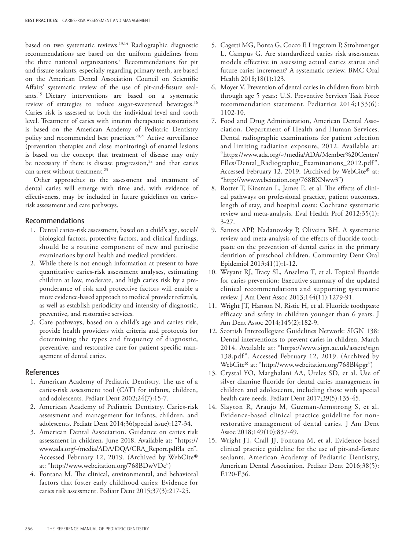based on two systematic reviews.<sup>13,14</sup> Radiographic diagnostic recommendations are based on the uniform guidelines from the three national organizations.7 Recommendations for pit and fissure sealants, especially regarding primary teeth, are based on the American Dental Association Council on Scientific Affairs' systematic review of the use of pit-and-fissure sealants.15 Dietary interventions are based on a systematic review of strategies to reduce sugar-sweetened beverages.<sup>16</sup> Caries risk is assessed at both the individual level and tooth level. Treatment of caries with interim therapeutic restorations is based on the American Academy of Pediatric Dentistry policy and recommended best practices.<sup>20,21</sup> Active surveillance (prevention therapies and close monitoring) of enamel lesions is based on the concept that treatment of disease may only be necessary if there is disease progression, $22$  and that caries can arrest without treatment.<sup>23</sup>

Other approaches to the assessment and treatment of dental caries will emerge with time and, with evidence of effectiveness, may be included in future guidelines on cariesrisk assessment and care pathways.

### Recommendations

- 1. Dental caries-risk assessment, based on a child's age, social/ biological factors, protective factors, and clinical findings, should be a routine component of new and periodic examinations by oral health and medical providers.
- 2. While there is not enough information at present to have quantitative caries-risk assessment analyses, estimating children at low, moderate, and high caries risk by a preponderance of risk and protective factors will enable a more evidence-based approach to medical provider referrals, as well as establish periodicity and intensity of diagnostic, preventive, and restorative services.
- 3. Care pathways, based on a child's age and caries risk, provide health providers with criteria and protocols for determining the types and frequency of diagnostic, preventive, and restorative care for patient specific management of dental caries.

#### References

- 1. American Academy of Pediatric Dentistry. The use of a caries-risk assessment tool (CAT) for infants, children, and adolescents. Pediatr Dent 2002;24(7):15-7.
- 2. American Academy of Pediatric Dentistry. Caries-risk assessment and management for infants, children, and adolescents. Pediatr Dent 2014;36(special issue):127-34.
- 3. American Dental Association. Guidance on caries risk assessment in children, June 2018. Available at: "https:// www.ada.org/~/media/ADA/DQA/CRA\_Report.pdf?la=en". Accessed February 12, 2019. (Archived by WebCite® at: "http://www.webcitation.org/768BDwVDc")
- 4. Fontana M. The clinical, environmental, and behavioral factors that foster early childhood caries: Evidence for caries risk assessment. Pediatr Dent 2015;37(3):217-25.
- 5. Cagetti MG, Bonta G, Cocco F, Lingstrom P, Strohmenger L, Campus G. Are standardized caries risk assessment models effective in assessing actual caries status and future caries increment? A systematic review. BMC Oral Health 2018;18(1):123.
- 6. Moyer V. Prevention of dental caries in children from birth through age 5 years: U.S. Preventive Services Task Force recommendation statement. Pediatrics 2014;133(6): 1102-10.
- 7. Food and Drug Administration, American Dental Association, Department of Health and Human Services. Dental radiographic examinations for patient selection and limiting radiation exposure, 2012. Available at: "https://www.ada.org/~/media/ADA/Member%20Center/ FIles/Dental\_Radiographic\_Examinations\_2012.pdf ". Accessed February 12, 2019. (Archived by WebCite® at: "http://www.webcitation.org/768BXNww3")
- 8. Rotter T, Kinsman L, James E, et al. The effects of clinical pathways on professional practice, patient outcomes, length of stay, and hospital costs: Cochrane systematic review and meta-analysis. Eval Health Prof 2012;35(1): 3-27.
- 9. Santos APP, Nadanovsky P, Oliveira BH. A systematic review and meta-analysis of the effects of fluoride toothpaste on the prevention of dental caries in the primary dentition of preschool children. Community Dent Oral Epidemiol 2013;41(1):1-12.
- 10. Weyant RJ, Tracy SL, Anselmo T, et al. Topical fluoride for caries prevention: Executive summary of the updated clinical recommendations and supporting systematic review. J Am Dent Assoc 2013;144(11):1279-91.
- 11. Wright JT, Hanson N, Ristic H, et al. Fluoride toothpaste efficacy and safety in children younger than 6 years. J Am Dent Assoc 2014;145(2):182-9.
- 12. Scottish Intercollegiate Guidelines Network: SIGN 138: Dental interventions to prevent caries in children, March 2014. Available at: "https://www.sign.ac.uk/assets/sign 138.pdf". Accessed February 12, 2019. (Archived by WebCite® at: "http://www.webcitation.org/768Bl4pgr")
- 13. Crystal YO, Marghalani AA, Ureles SD, et al. Use of silver diamine fluoride for dental caries management in children and adolescents, including those with special health care needs. Pediatr Dent 2017;39(5):135-45.
- 14. Slayton R, Araujo M, Guzman-Armstrong S, et al. Evidence-based clinical practice guideline for nonrestorative management of dental caries. J Am Dent Assoc 2018;149(10):837-49.
- 15. Wright JT, Crall JJ, Fontana M, et al. Evidence-based clinical practice guideline for the use of pit-and-fissure sealants. American Academy of Pediatric Dentistry, American Dental Association. Pediatr Dent 2016;38(5): E120-E36.